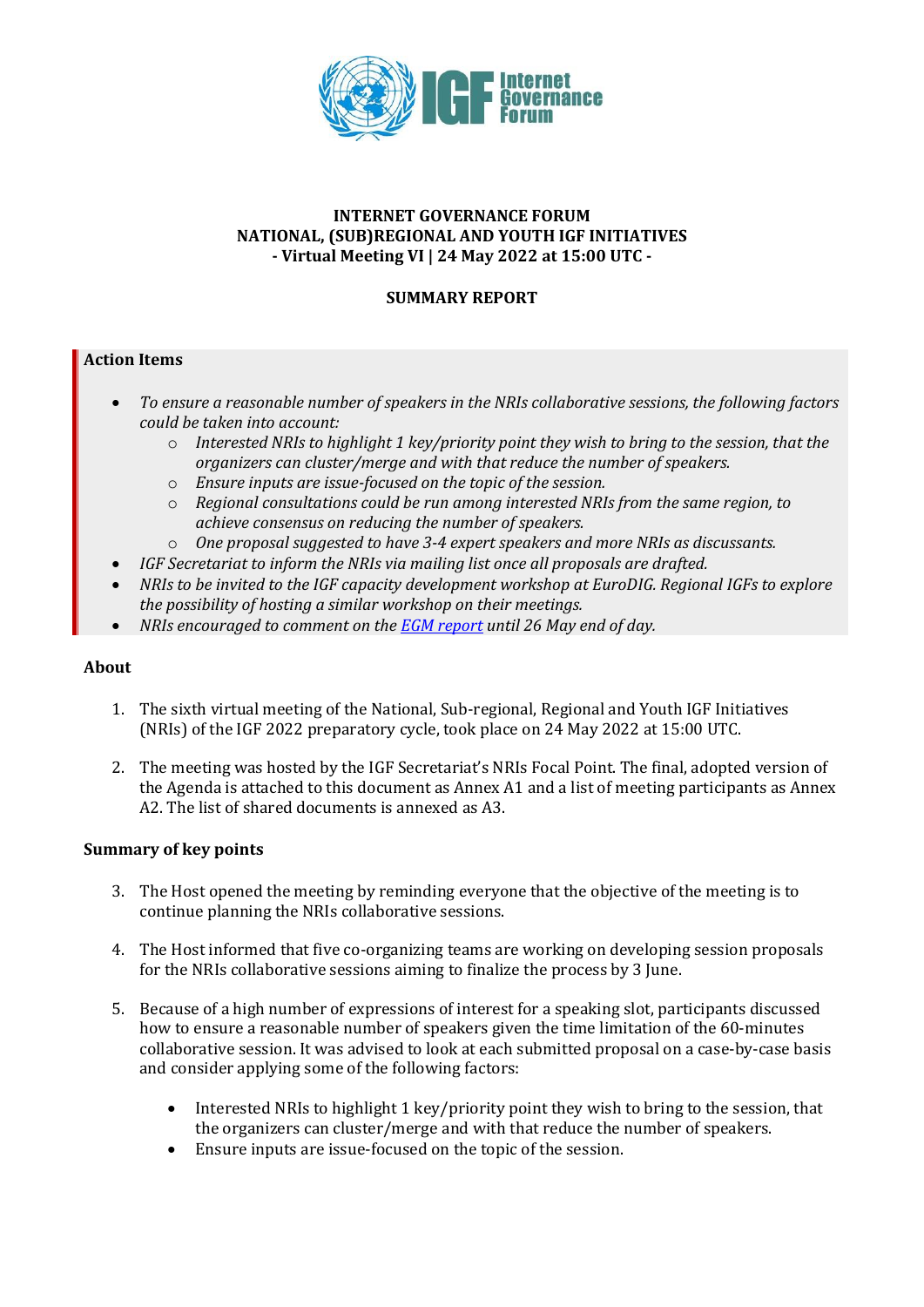

## **INTERNET GOVERNANCE FORUM NATIONAL, (SUB)REGIONAL AND YOUTH IGF INITIATIVES - Virtual Meeting VI | 24 May 2022 at 15:00 UTC -**

# **SUMMARY REPORT**

## **Action Items**

- *To ensure a reasonable number of speakers in the NRIs collaborative sessions, the following factors could be taken into account:* 
	- o *Interested NRIs to highlight 1 key/priority point they wish to bring to the session, that the organizers can cluster/merge and with that reduce the number of speakers.*
	- o *Ensure inputs are issue-focused on the topic of the session.*
	- o *Regional consultations could be run among interested NRIs from the same region, to achieve consensus on reducing the number of speakers.*
	- o *One proposal suggested to have 3-4 expert speakers and more NRIs as discussants.*
	- *IGF Secretariat to inform the NRIs via mailing list once all proposals are drafted.*
- *NRIs to be invited to the IGF capacity development workshop at EuroDIG. Regional IGFs to explore the possibility of hosting a similar workshop on their meetings.*
- *NRIs encouraged to comment on the [EGM report](https://www.intgovforum.org/en/content/report-from-expert-group-meeting) until 26 May end of day.*

#### **About**

- 1. The sixth virtual meeting of the National, Sub-regional, Regional and Youth IGF Initiatives (NRIs) of the IGF 2022 preparatory cycle, took place on 24 May 2022 at 15:00 UTC.
- 2. The meeting was hosted by the IGF Secretariat's NRIs Focal Point. The final, adopted version of the Agenda is attached to this document as Annex A1 and a list of meeting participants as Annex A2. The list of shared documents is annexed as A3.

## **Summary of key points**

- 3. The Host opened the meeting by reminding everyone that the objective of the meeting is to continue planning the NRIs collaborative sessions.
- 4. The Host informed that five co-organizing teams are working on developing session proposals for the NRIs collaborative sessions aiming to finalize the process by 3 June.
- 5. Because of a high number of expressions of interest for a speaking slot, participants discussed how to ensure a reasonable number of speakers given the time limitation of the 60-minutes collaborative session. It was advised to look at each submitted proposal on a case-by-case basis and consider applying some of the following factors:
	- Interested NRIs to highlight 1 key/priority point they wish to bring to the session, that the organizers can cluster/merge and with that reduce the number of speakers.
	- Ensure inputs are issue-focused on the topic of the session.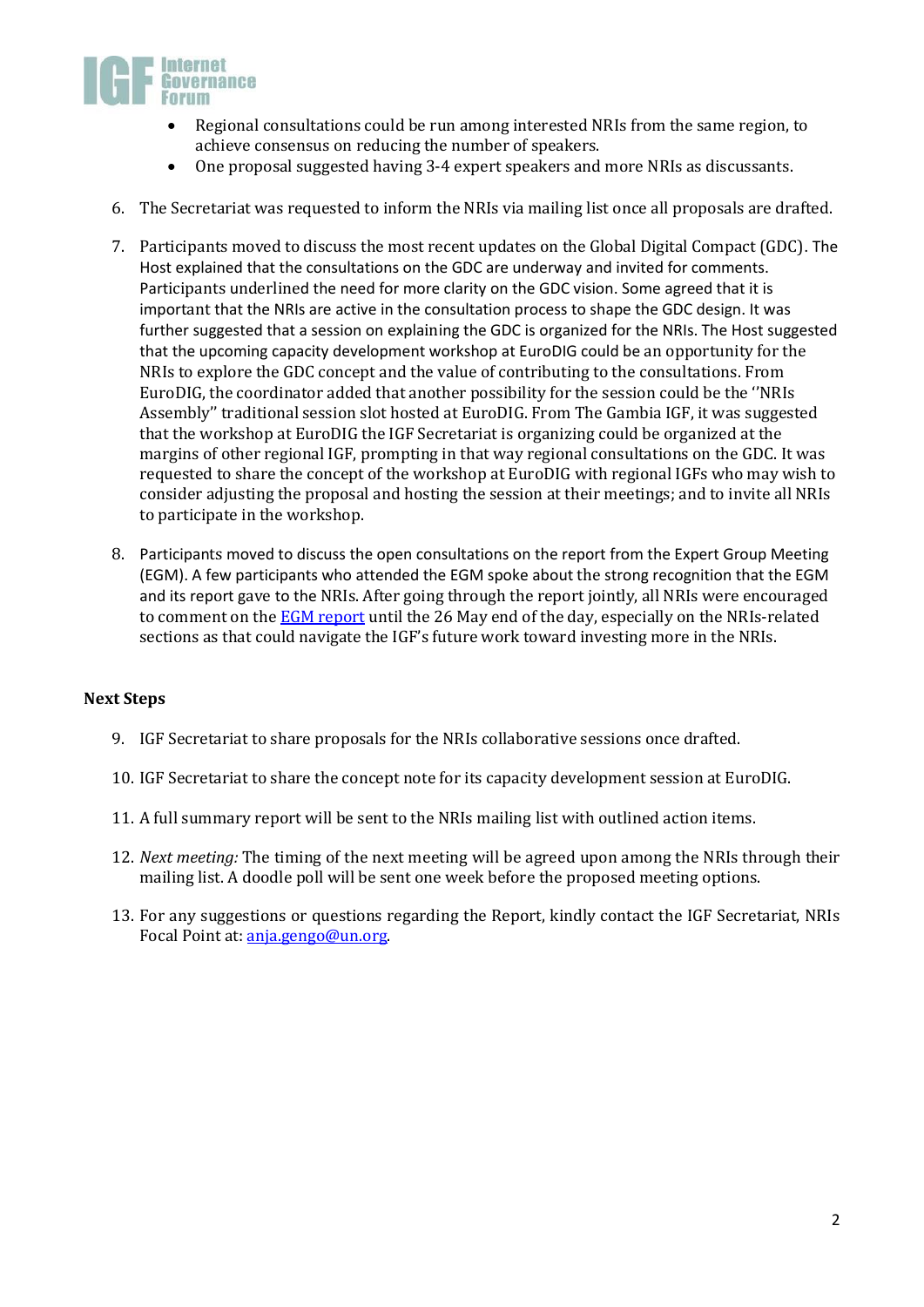

- Regional consultations could be run among interested NRIs from the same region, to achieve consensus on reducing the number of speakers.
- One proposal suggested having 3-4 expert speakers and more NRIs as discussants.
- 6. The Secretariat was requested to inform the NRIs via mailing list once all proposals are drafted.
- 7. Participants moved to discuss the most recent updates on the Global Digital Compact (GDC). The Host explained that the consultations on the GDC are underway and invited for comments. Participants underlined the need for more clarity on the GDC vision. Some agreed that it is important that the NRIs are active in the consultation process to shape the GDC design. It was further suggested that a session on explaining the GDC is organized for the NRIs. The Host suggested that the upcoming capacity development workshop at EuroDIG could be an opportunity for the NRIs to explore the GDC concept and the value of contributing to the consultations. From EuroDIG, the coordinator added that another possibility for the session could be the ''NRIs Assembly'' traditional session slot hosted at EuroDIG. From The Gambia IGF, it was suggested that the workshop at EuroDIG the IGF Secretariat is organizing could be organized at the margins of other regional IGF, prompting in that way regional consultations on the GDC. It was requested to share the concept of the workshop at EuroDIG with regional IGFs who may wish to consider adjusting the proposal and hosting the session at their meetings; and to invite all NRIs to participate in the workshop.
- 8. Participants moved to discuss the open consultations on the report from the Expert Group Meeting (EGM). A few participants who attended the EGM spoke about the strong recognition that the EGM and its report gave to the NRIs. After going through the report jointly, all NRIs were encouraged to comment on the **EGM report** until the 26 May end of the day, especially on the NRIs-related sections as that could navigate the IGF's future work toward investing more in the NRIs.

#### **Next Steps**

- 9. IGF Secretariat to share proposals for the NRIs collaborative sessions once drafted.
- 10. IGF Secretariat to share the concept note for its capacity development session at EuroDIG.
- 11. A full summary report will be sent to the NRIs mailing list with outlined action items.
- 12. *Next meeting:* The timing of the next meeting will be agreed upon among the NRIs through their mailing list. A doodle poll will be sent one week before the proposed meeting options.
- 13. For any suggestions or questions regarding the Report, kindly contact the IGF Secretariat, NRIs Focal Point at: [anja.gengo@un.o](mailto:anja.gengo@un)rg.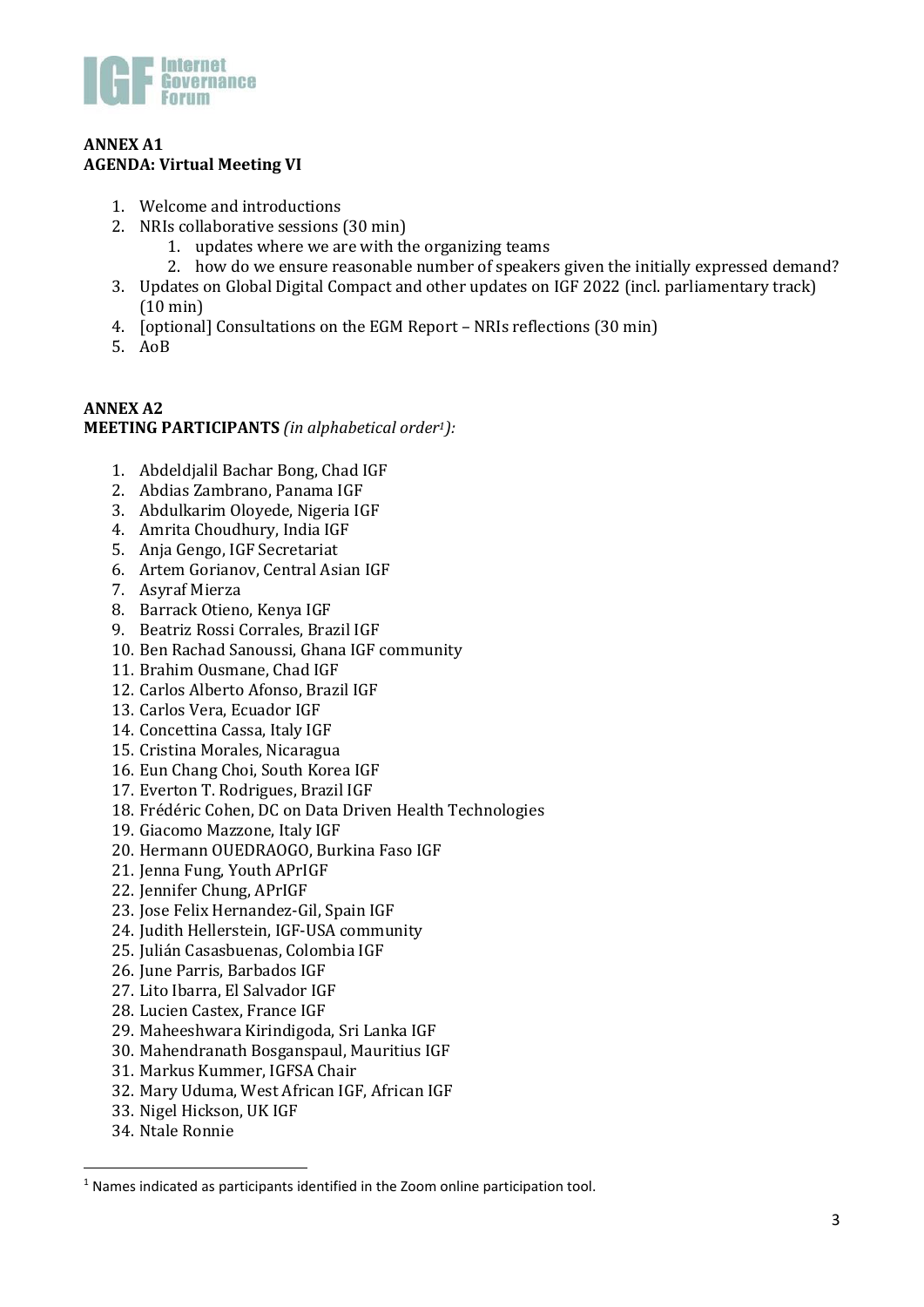

## **ANNEX A1 AGENDA: Virtual Meeting VI**

- 1. Welcome and introductions
- 2. NRIs collaborative sessions (30 min)
	- 1. updates where we are with the organizing teams
	- 2. how do we ensure reasonable number of speakers given the initially expressed demand?
- 3. Updates on Global Digital Compact and other updates on IGF 2022 (incl. parliamentary track) (10 min)
- 4. [optional] Consultations on the EGM Report NRIs reflections (30 min)
- 5. AoB

# **ANNEX A2 MEETING PARTICIPANTS** *(in alphabetical order1):*

- 1. Abdeldjalil Bachar Bong, Chad IGF
- 2. Abdias Zambrano, Panama IGF
- 3. Abdulkarim Oloyede, Nigeria IGF
- 4. Amrita Choudhury, India IGF
- 5. Anja Gengo, IGF Secretariat
- 6. Artem Gorianov, Central Asian IGF
- 7. Asyraf Mierza
- 8. Barrack Otieno, Kenya IGF
- 9. Beatriz Rossi Corrales, Brazil IGF
- 10. Ben Rachad Sanoussi, Ghana IGF community
- 11. Brahim Ousmane, Chad IGF
- 12. Carlos Alberto Afonso, Brazil IGF
- 13. Carlos Vera, Ecuador IGF
- 14. Concettina Cassa, Italy IGF
- 15. Cristina Morales, Nicaragua
- 16. Eun Chang Choi, South Korea IGF
- 17. Everton T. Rodrigues, Brazil IGF
- 18. Frédéric Cohen, DC on Data Driven Health Technologies
- 19. Giacomo Mazzone, Italy IGF
- 20. Hermann OUEDRAOGO, Burkina Faso IGF
- 21. Jenna Fung, Youth APrIGF
- 22. Jennifer Chung, APrIGF
- 23. Jose Felix Hernandez-Gil, Spain IGF
- 24. Judith Hellerstein, IGF-USA community
- 25. Julián Casasbuenas, Colombia IGF
- 26. June Parris, Barbados IGF
- 27. Lito Ibarra, El Salvador IGF
- 28. Lucien Castex, France IGF
- 29. Maheeshwara Kirindigoda, Sri Lanka IGF
- 30. Mahendranath Bosganspaul, Mauritius IGF
- 31. Markus Kummer, IGFSA Chair
- 32. Mary Uduma, West African IGF, African IGF
- 33. Nigel Hickson, UK IGF
- 34. Ntale Ronnie

<sup>&</sup>lt;sup>1</sup> Names indicated as participants identified in the Zoom online participation tool.